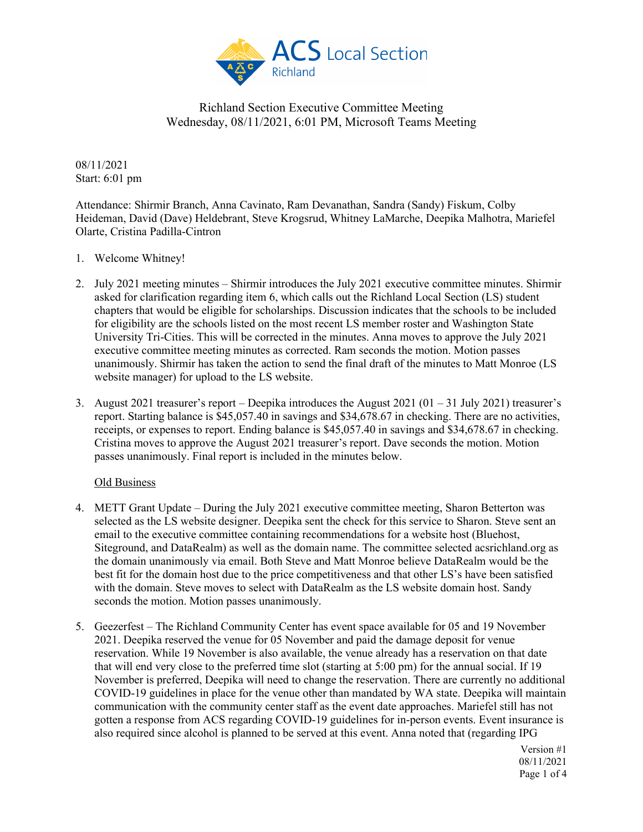

08/11/2021 Start: 6:01 pm

Attendance: Shirmir Branch, Anna Cavinato, Ram Devanathan, Sandra (Sandy) Fiskum, Colby Heideman, David (Dave) Heldebrant, Steve Krogsrud, Whitney LaMarche, Deepika Malhotra, Mariefel Olarte, Cristina Padilla-Cintron

- 1. Welcome Whitney!
- 2. July 2021 meeting minutes Shirmir introduces the July 2021 executive committee minutes. Shirmir asked for clarification regarding item 6, which calls out the Richland Local Section (LS) student chapters that would be eligible for scholarships. Discussion indicates that the schools to be included for eligibility are the schools listed on the most recent LS member roster and Washington State University Tri-Cities. This will be corrected in the minutes. Anna moves to approve the July 2021 executive committee meeting minutes as corrected. Ram seconds the motion. Motion passes unanimously. Shirmir has taken the action to send the final draft of the minutes to Matt Monroe (LS website manager) for upload to the LS website.
- 3. August 2021 treasurer's report Deepika introduces the August 2021 (01 31 July 2021) treasurer's report. Starting balance is \$45,057.40 in savings and \$34,678.67 in checking. There are no activities, receipts, or expenses to report. Ending balance is \$45,057.40 in savings and \$34,678.67 in checking. Cristina moves to approve the August 2021 treasurer's report. Dave seconds the motion. Motion passes unanimously. Final report is included in the minutes below.

#### Old Business

- 4. METT Grant Update During the July 2021 executive committee meeting, Sharon Betterton was selected as the LS website designer. Deepika sent the check for this service to Sharon. Steve sent an email to the executive committee containing recommendations for a website host (Bluehost, Siteground, and DataRealm) as well as the domain name. The committee selected acsrichland.org as the domain unanimously via email. Both Steve and Matt Monroe believe DataRealm would be the best fit for the domain host due to the price competitiveness and that other LS's have been satisfied with the domain. Steve moves to select with DataRealm as the LS website domain host. Sandy seconds the motion. Motion passes unanimously.
- 5. Geezerfest The Richland Community Center has event space available for 05 and 19 November 2021. Deepika reserved the venue for 05 November and paid the damage deposit for venue reservation. While 19 November is also available, the venue already has a reservation on that date that will end very close to the preferred time slot (starting at 5:00 pm) for the annual social. If 19 November is preferred, Deepika will need to change the reservation. There are currently no additional COVID-19 guidelines in place for the venue other than mandated by WA state. Deepika will maintain communication with the community center staff as the event date approaches. Mariefel still has not gotten a response from ACS regarding COVID-19 guidelines for in-person events. Event insurance is also required since alcohol is planned to be served at this event. Anna noted that (regarding IPG

Version #1 08/11/2021 Page 1 of 4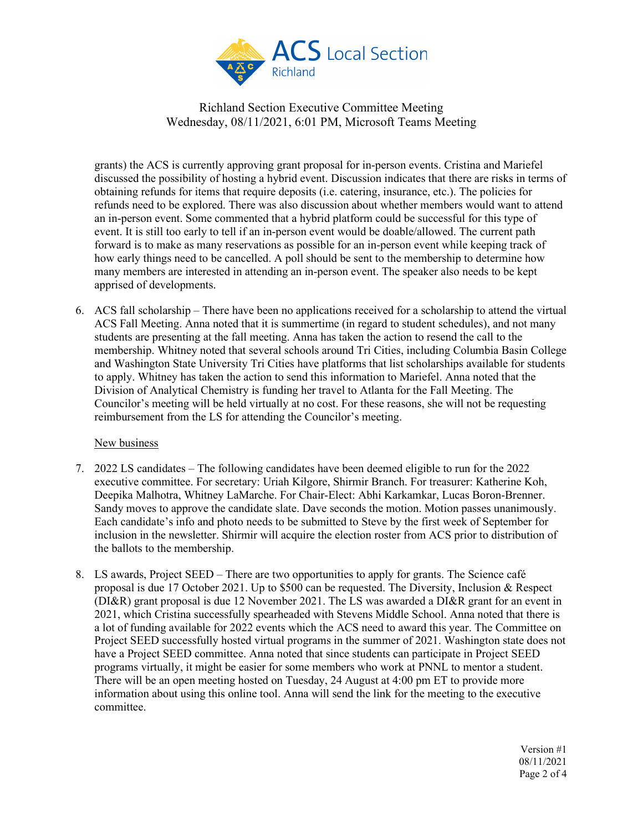

grants) the ACS is currently approving grant proposal for in-person events. Cristina and Mariefel discussed the possibility of hosting a hybrid event. Discussion indicates that there are risks in terms of obtaining refunds for items that require deposits (i.e. catering, insurance, etc.). The policies for refunds need to be explored. There was also discussion about whether members would want to attend an in-person event. Some commented that a hybrid platform could be successful for this type of event. It is still too early to tell if an in-person event would be doable/allowed. The current path forward is to make as many reservations as possible for an in-person event while keeping track of how early things need to be cancelled. A poll should be sent to the membership to determine how many members are interested in attending an in-person event. The speaker also needs to be kept apprised of developments.

6. ACS fall scholarship – There have been no applications received for a scholarship to attend the virtual ACS Fall Meeting. Anna noted that it is summertime (in regard to student schedules), and not many students are presenting at the fall meeting. Anna has taken the action to resend the call to the membership. Whitney noted that several schools around Tri Cities, including Columbia Basin College and Washington State University Tri Cities have platforms that list scholarships available for students to apply. Whitney has taken the action to send this information to Mariefel. Anna noted that the Division of Analytical Chemistry is funding her travel to Atlanta for the Fall Meeting. The Councilor's meeting will be held virtually at no cost. For these reasons, she will not be requesting reimbursement from the LS for attending the Councilor's meeting.

#### New business

- 7. 2022 LS candidates The following candidates have been deemed eligible to run for the 2022 executive committee. For secretary: Uriah Kilgore, Shirmir Branch. For treasurer: Katherine Koh, Deepika Malhotra, Whitney LaMarche. For Chair-Elect: Abhi Karkamkar, Lucas Boron-Brenner. Sandy moves to approve the candidate slate. Dave seconds the motion. Motion passes unanimously. Each candidate's info and photo needs to be submitted to Steve by the first week of September for inclusion in the newsletter. Shirmir will acquire the election roster from ACS prior to distribution of the ballots to the membership.
- 8. LS awards, Project SEED There are two opportunities to apply for grants. The Science café proposal is due 17 October 2021. Up to \$500 can be requested. The Diversity, Inclusion & Respect (DI&R) grant proposal is due 12 November 2021. The LS was awarded a DI&R grant for an event in 2021, which Cristina successfully spearheaded with Stevens Middle School. Anna noted that there is a lot of funding available for 2022 events which the ACS need to award this year. The Committee on Project SEED successfully hosted virtual programs in the summer of 2021. Washington state does not have a Project SEED committee. Anna noted that since students can participate in Project SEED programs virtually, it might be easier for some members who work at PNNL to mentor a student. There will be an open meeting hosted on Tuesday, 24 August at 4:00 pm ET to provide more information about using this online tool. Anna will send the link for the meeting to the executive committee.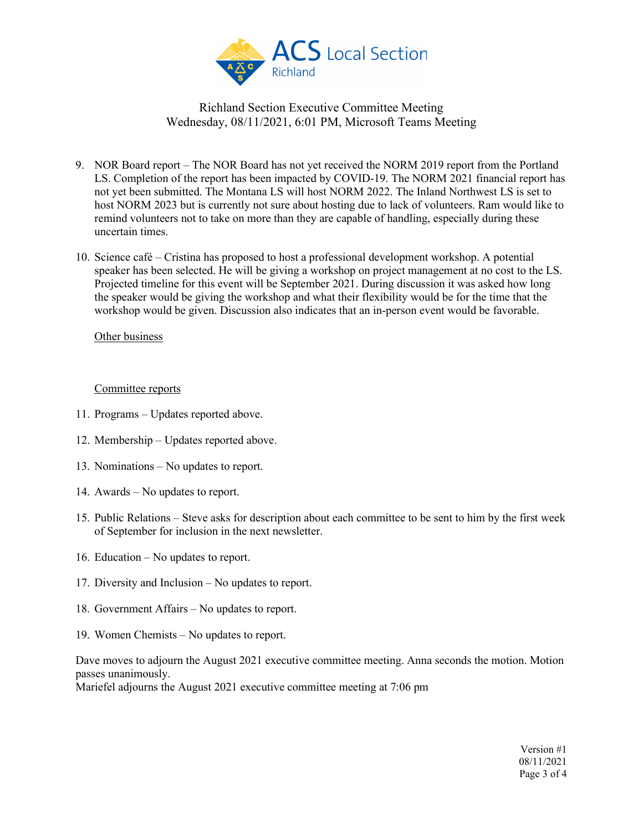

- 9. NOR Board report The NOR Board has not yet received the NORM 2019 report from the Portland LS. Completion of the report has been impacted by COVID-19. The NORM 2021 financial report has not yet been submitted. The Montana LS will host NORM 2022. The Inland Northwest LS is set to host NORM 2023 but is currently not sure about hosting due to lack of volunteers. Ram would like to remind volunteers not to take on more than they are capable of handling, especially during these uncertain times.
- 10. Science café Cristina has proposed to host a professional development workshop. A potential speaker has been selected. He will be giving a workshop on project management at no cost to the LS. Projected timeline for this event will be September 2021. During discussion it was asked how long the speaker would be giving the workshop and what their flexibility would be for the time that the workshop would be given. Discussion also indicates that an in-person event would be favorable.

#### Other business

#### Committee reports

- 11. Programs Updates reported above.
- 12. Membership Updates reported above.
- 13. Nominations No updates to report.
- 14. Awards No updates to report.
- 15. Public Relations Steve asks for description about each committee to be sent to him by the first week of September for inclusion in the next newsletter.
- 16. Education No updates to report.
- 17. Diversity and Inclusion No updates to report.
- 18. Government Affairs No updates to report.
- 19. Women Chemists No updates to report.

Dave moves to adjourn the August 2021 executive committee meeting. Anna seconds the motion. Motion passes unanimously. Mariefel adjourns the August 2021 executive committee meeting at 7:06 pm

> Version #1 08/11/2021 Page 3 of 4